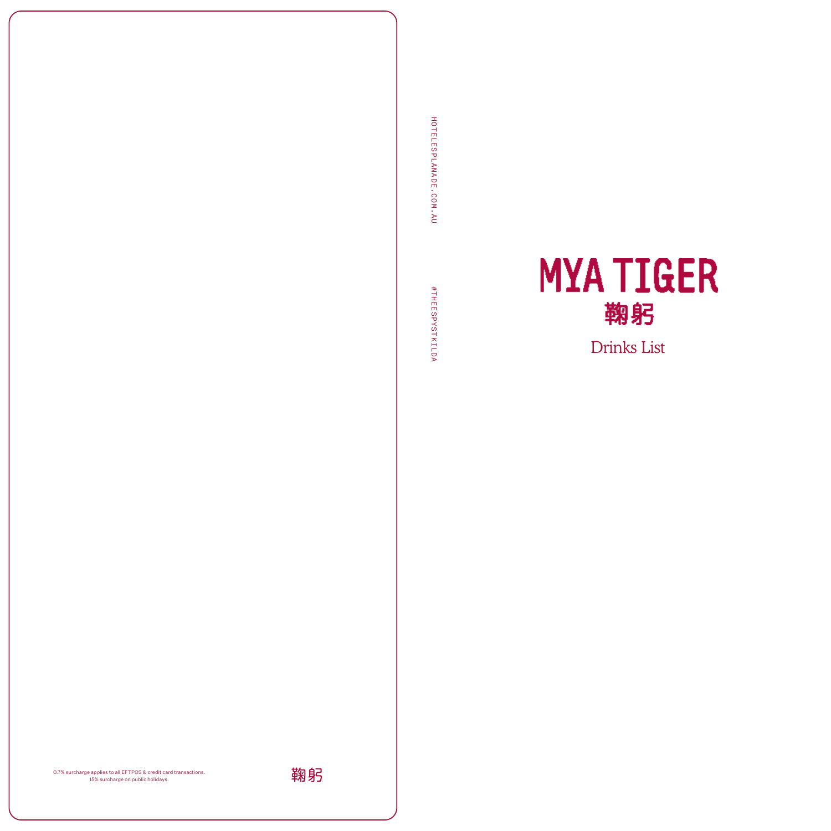



HOTELESPLANADE.COM.AU

HOTELESPLANADE.COM.AU

#THEESPYSTKILDA

#THEESPYSTKILDA

0.7% surcharge applies to all EFTPOS & credit card transactions. 15% surcharge on public holidays.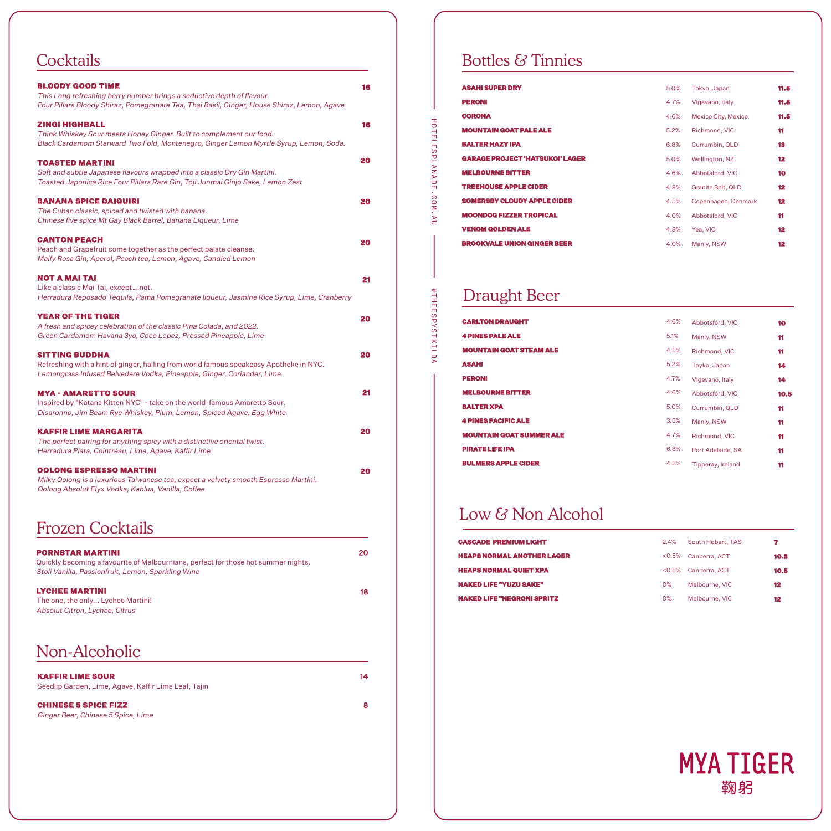# **Cocktails**

| <b>BLOODY GOOD TIME</b><br>This Long refreshing berry number brings a seductive depth of flavour.<br>Four Pillars Bloody Shiraz, Pomegranate Tea, Thai Basil, Ginger, House Shiraz, Lemon, Agave | 16 |
|--------------------------------------------------------------------------------------------------------------------------------------------------------------------------------------------------|----|
| ZINGI HIGHBALL<br>Think Whiskey Sour meets Honey Ginger. Built to complement our food.<br>Black Cardamom Starward Two Fold, Montenegro, Ginger Lemon Myrtle Syrup, Lemon, Soda.                  | 16 |
| <b>TOASTED MARTINI</b><br>Soft and subtle Japanese flavours wrapped into a classic Dry Gin Martini.<br>Toasted Japonica Rice Four Pillars Rare Gin, Toji Junmai Ginjo Sake, Lemon Zest           | 20 |
| <b>BANANA SPICE DAIQUIRI</b><br>The Cuban classic, spiced and twisted with banana.<br>Chinese five spice Mt Gay Black Barrel, Banana Liqueur, Lime                                               | 20 |
| <b>CANTON PEACH</b><br>Peach and Grapefruit come together as the perfect palate cleanse.<br>Malfy Rosa Gin, Aperol, Peach tea, Lemon, Agave, Candied Lemon                                       | 20 |
| NOT A MAI TAI<br>Like a classic Mai Tai, exceptnot.<br>Herradura Reposado Tequila, Pama Pomegranate liqueur, Jasmine Rice Syrup, Lime, Cranberry                                                 | 21 |
| <b>YEAR OF THE TIGER</b><br>A fresh and spicey celebration of the classic Pina Colada, and 2022.<br>Green Cardamom Havana 3yo, Coco Lopez, Pressed Pineapple, Lime                               | 20 |
| <b>SITTING BUDDHA</b><br>Refreshing with a hint of ginger, hailing from world famous speakeasy Apotheke in NYC.<br>Lemongrass Infused Belvedere Vodka, Pineapple, Ginger, Coriander, Lime        | 20 |
| <b>MYA - AMARETTO SOUR</b><br>Inspired by "Katana Kitten NYC" - take on the world-famous Amaretto Sour.<br>Disaronno, Jim Beam Rye Whiskey, Plum, Lemon, Spiced Agave, Egg White                 | 21 |
| <b>KAFFIR LIME MARGARITA</b><br>The perfect pairing for anything spicy with a distinctive oriental twist.<br>Herradura Plata, Cointreau, Lime, Agave, Kaffir Lime                                | 20 |
| <b>OOLONG ESPRESSO MARTINI</b><br>Milky Oolong is a luxurious Taiwanese tea, expect a velvety smooth Espresso Martini.<br>Oolong Absolut Elyx Vodka, Kahlua, Vanilla, Coffee                     | 20 |

# Frozen Cocktails

| <b>PORNSTAR MARTINI</b><br>Quickly becoming a favourite of Melbournians, perfect for those hot summer nights.<br>Stoli Vanilla, Passionfruit, Lemon, Sparkling Wine | 20 |
|---------------------------------------------------------------------------------------------------------------------------------------------------------------------|----|
| <b>LYCHEE MARTINI</b><br>The one, the only Lychee Martini!<br>Absolut Citron, Lychee, Citrus                                                                        | 18 |
| Non-Alcoholic                                                                                                                                                       |    |
| <b>KAFFIR LIME SOUR</b><br>Seedlip Garden, Lime, Agave, Kaffir Lime Leaf, Tajin                                                                                     | 14 |
| <b>CHINESE 5 SPICE FIZZ</b><br>Ginger Beer, Chinese 5 Spice, Lime                                                                                                   | 8  |

# Bottles & Tinnies

| 5.0% | Tokyo, Japan          | 11.5            |
|------|-----------------------|-----------------|
| 4.7% | Vigevano, Italy       | 11.5            |
| 4.6% | Mexico City, Mexico   | 11.5            |
| 5.2% | Richmond, VIC         | 11              |
| 6.8% | Currumbin, QLD        | 13              |
| 5.0% | <b>Wellington, NZ</b> | 12              |
| 4.6% | Abbotsford, VIC       | 10              |
| 4.8% | Granite Belt, QLD     | $12 \,$         |
| 4.5% | Copenhagen, Denmark   | $12 \,$         |
| 4.0% | Abbotsford, VIC       | 11              |
| 4.8% | Yea, VIC              | 12              |
| 4.0% | Manly, NSW            | 12 <sub>2</sub> |
|      |                       |                 |

# Draught Beer

HOTELESPLANADE.COM.AU

HOTELESPLANADE.COM.AU

#THEESPYSTKILDA

#THEESPYSTKILDA

| <b>CARLTON DRAUGHT</b>          | 4.6% | Abbotsford, VIC   | 10   |
|---------------------------------|------|-------------------|------|
| <b>4 PINES PALE ALE</b>         | 5.1% | Manly, NSW        | 11   |
| <b>MOUNTAIN GOAT STEAM ALE</b>  | 4.5% | Richmond, VIC     | 11   |
| <b>ASAHI</b>                    | 5.2% | Toyko, Japan      | 14   |
| <b>PERONI</b>                   | 4.7% | Vigevano, Italy   | 14   |
| <b>MELBOURNE BITTER</b>         | 4.6% | Abbotsford, VIC   | 10.5 |
| <b>BALTER XPA</b>               | 5.0% | Currumbin, QLD    | 11   |
| <b>4 PINES PACIFIC ALE</b>      | 3.5% | Manly, NSW        | 11   |
| <b>MOUNTAIN GOAT SUMMER ALE</b> | 4.7% | Richmond, VIC     | 11   |
| <b>PIRATE LIFE IPA</b>          | 6.8% | Port Adelaide, SA | 11   |
| <b>BULMERS APPLE CIDER</b>      | 4.5% | Tipperay, Ireland | 11   |

# Low & Non Alcohol

| <b>CASCADE PREMIUM LIGHT</b>      | 2.4%      | South Hobart, TAS | 7.   |
|-----------------------------------|-----------|-------------------|------|
| <b>HEAPS NORMAL ANOTHER LAGER</b> | $< 0.5\%$ | Canberra, ACT     | 10.5 |
| <b>HEAPS NORMAL QUIET XPA</b>     | $<$ 0.5%  | Canberra, ACT     | 10.5 |
| <b>NAKED LIFE "YUZU SAKE"</b>     | $O\%$     | Melbourne, VIC    | 12   |
| <b>NAKED LIFE "NEGRONI SPRITZ</b> | $O\%$     | Melbourne, VIC    | 12   |

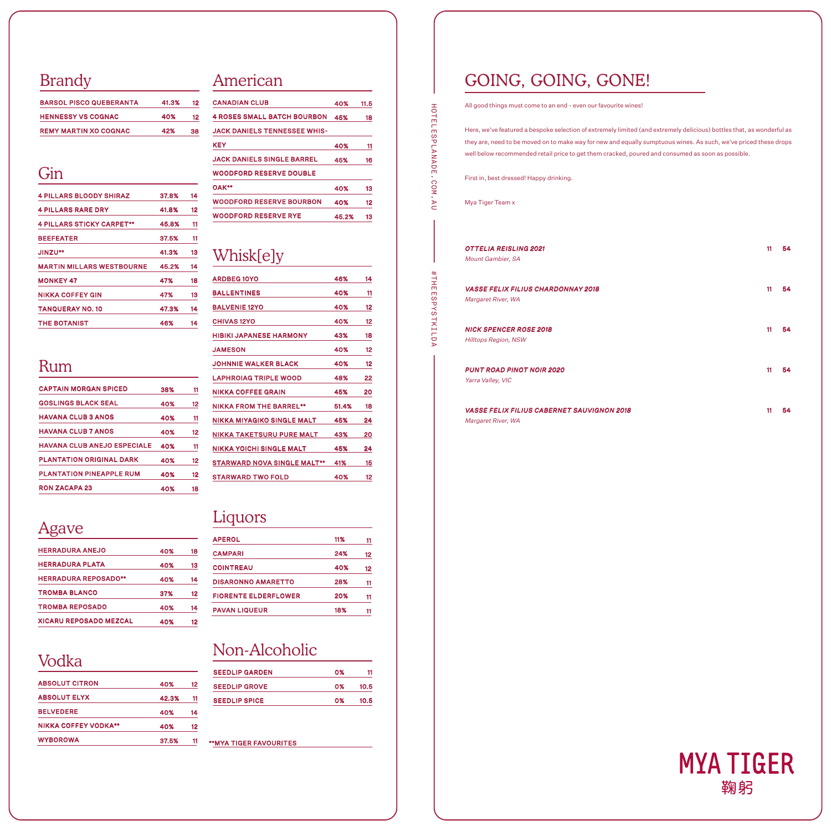## Brandy

| <b>BARSOL PISCO QUEBERANTA</b> | 41.3% | 12 |
|--------------------------------|-------|----|
| <b>HENNESSY VS COGNAC</b>      | 40%   | 12 |
| <b>REMY MARTIN XO COGNAC</b>   | 42%   | 38 |

#### Gin

| <b>4 PILLARS BLOODY SHIRAZ</b>   | 37.8% | 14 |
|----------------------------------|-------|----|
| <b>4 PILLARS RARE DRY</b>        | 41.8% | 12 |
| <b>4 PILLARS STICKY CARPET**</b> | 45.8% | 11 |
| <b>BEEFEATER</b>                 | 37.5% | 11 |
| JINZU**                          | 41.3% | 13 |
| <b>MARTIN MILLARS WESTBOURNE</b> | 45.2% | 14 |
| <b>MONKEY 47</b>                 | 47%   | 18 |
| <b>NIKKA COFFEY GIN</b>          | 47%   | 13 |
| <b>TANQUERAY NO. 10</b>          | 47.3% | 14 |
| <b>THE BOTANIST</b>              | 46%   | 14 |

#### Rum

| <b>CAPTAIN MORGAN SPICED</b>       | 38% | 11 |
|------------------------------------|-----|----|
| <b>GOSLINGS BLACK SEAL</b>         | 40% | 12 |
| <b>HAVANA CLUB 3 ANOS</b>          | 40% | 11 |
| <b>HAVANA CLUB 7 ANOS</b>          | 40% | 12 |
| <b>HAVANA CLUB ANEJO ESPECIALE</b> | 40% | 11 |
| <b>PLANTATION ORIGINAL DARK</b>    | 40% | 12 |
| <b>PLANTATION PINEAPPLE RUM</b>    | 40% | 12 |
| <b>RON ZACAPA 23</b>               | 40% | 18 |

#### Agave

| <b>HERRADURA ANEJO</b>        | 40% | 18 |
|-------------------------------|-----|----|
| <b>HERRADURA PLATA</b>        | 40% | 13 |
| <b>HERRADURA REPOSADO**</b>   | 40% | 14 |
| <b>TROMBA BLANCO</b>          | 37% | 12 |
| <b>TROMBA REPOSADO</b>        | 40% | 14 |
| <b>XICARU REPOSADO MEZCAL</b> | 40% | 12 |

## Vodka

| <b>ABSOLUT CITRON</b>       | 40%   | 12 |
|-----------------------------|-------|----|
| <b>ABSOLUT ELYX</b>         | 42.3% | 11 |
| <b>BELVEDERE</b>            | 40%   | 14 |
| <b>NIKKA COFFEY VODKA**</b> | 40%   | 12 |
| <b>WYBOROWA</b>             | 37.5% | 11 |

#### American

| <b>CANADIAN CLUB</b>                | 40%   | 11.5 |
|-------------------------------------|-------|------|
| <b>4 ROSES SMALL BATCH BOURBON</b>  | 45%   | 18   |
| <b>JACK DANIELS TENNESSEE WHIS-</b> |       |      |
| KEY                                 | 40%   | 11   |
| <b>JACK DANIELS SINGLE BARREL</b>   | 45%   | 16   |
| <b>WOODFORD RESERVE DOUBLE</b>      |       |      |
| <b>OAK**</b>                        | 40%   | 13   |
| <b>WOODFORD RESERVE BOURBON</b>     | 40%   | 12   |
| <b>WOODFORD RESERVE RYE</b>         | 45.2% | 13   |

## Whisk[e]y

| <b>ARDBEG 10YO</b>                 | 46%   | 14 |
|------------------------------------|-------|----|
| <b>BALLENTINES</b>                 | 40%   | 11 |
| <b>BALVENIE 12YO</b>               | 40%   | 12 |
| <b>CHIVAS 12YO</b>                 | 40%   | 12 |
| <b>HIBIKI JAPANESE HARMONY</b>     | 43%   | 18 |
| <b>JAMESON</b>                     | 40%   | 12 |
| <b>JOHNNIE WALKER BLACK</b>        | 40%   | 12 |
| <b>LAPHROIAG TRIPLE WOOD</b>       | 48%   | 22 |
| NIKKA COFFFF GRAIN                 | 45%   | 20 |
| <b>NIKKA FROM THE BARREL**</b>     | 51.4% | 18 |
| NIKKA MIYAGIKO SINGLE MALT         | 45%   | 24 |
| NIKKA TAKETSURU PURE MALT          | 43%   | 20 |
| NIKKA YOICHI SINGLE MALT           | 45%   | 24 |
|                                    |       |    |
| <b>STARWARD NOVA SINGLE MALT**</b> | 41%   | 15 |
| <b>STARWARD TWO FOLD</b>           | 40%   | 12 |

## Liquors

| <b>APEROL</b>               | 11% | 11 |
|-----------------------------|-----|----|
| <b>CAMPARI</b>              | 24% | 12 |
| <b>COINTREAU</b>            | 40% | 12 |
| <b>DISARONNO AMARETTO</b>   | 28% | 11 |
| <b>FIORENTE ELDERFLOWER</b> | 20% | 11 |
| <b>PAVAN LIQUEUR</b>        | 18% | 11 |

## Non-Alcoholic

| <b>SEEDLIP GARDEN</b> | 0% | 11   |
|-----------------------|----|------|
| <b>SEEDLIP GROVE</b>  | 0% | 10.5 |
| <b>SEEDLIP SPICE</b>  | 0% | 10.5 |
|                       |    |      |

\*\*MYA TIGER FAVOURITES

# GOING, GOING, GONE!

All good things must come to an end - even our favourite wines!

Here, we've featured a bespoke selection of extremely limited (and extremely delicious) bottles that, as wonderful as they are, need to be moved on to make way for new and equally sumptuous wines. As such, we've priced these drops well below recommended retail price to get them cracked, poured and consumed as soon as possible.

First in, best dressed! Happy drinking.

Mya Tiger Team x

HOTELESPLANADE.COM.AU

 $\mathbf{r}$ 

HOTELESPLANADE.COM.

#THEESPYSTKILDA

#THEESPYSTKILDA

| <b>OTTELIA REISLING 2021</b><br>Mount Gambier, SA                       | 11 | 54 |
|-------------------------------------------------------------------------|----|----|
| <b>VASSE FELIX FILIUS CHARDONNAY 2018</b><br>Margaret River, WA         | 11 | 54 |
| <b>NICK SPENCER ROSE 2018</b><br><b>Hilltops Region, NSW</b>            | 11 | 54 |
| <b>PUNT ROAD PINOT NOIR 2020</b><br>Yarra Valley, VIC                   | 11 | 54 |
| <b>VASSE FELIX FILIUS CABERNET SAUVIGNON 2018</b><br>Margaret River, WA | 11 | 54 |